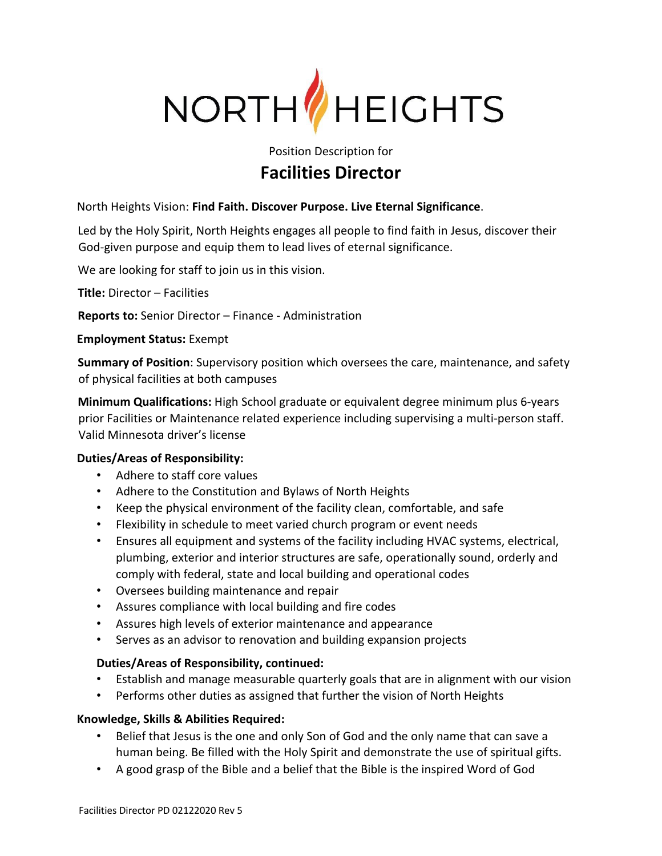

# Position Description for **Facilities Director**

North Heights Vision: **Find Faith. Discover Purpose. Live Eternal Significance**.

Led by the Holy Spirit, North Heights engages all people to find faith in Jesus, discover their God-given purpose and equip them to lead lives of eternal significance.

We are looking for staff to join us in this vision.

**Title:** Director – Facilities

**Reports to:** Senior Director – Finance - Administration

**Employment Status:** Exempt

**Summary of Position**: Supervisory position which oversees the care, maintenance, and safety of physical facilities at both campuses

**Minimum Qualifications:** High School graduate or equivalent degree minimum plus 6-years prior Facilities or Maintenance related experience including supervising a multi-person staff. Valid Minnesota driver's license

## **Duties/Areas of Responsibility:**

- Adhere to staff core values
- Adhere to the Constitution and Bylaws of North Heights
- Keep the physical environment of the facility clean, comfortable, and safe
- Flexibility in schedule to meet varied church program or event needs
- Ensures all equipment and systems of the facility including HVAC systems, electrical, plumbing, exterior and interior structures are safe, operationally sound, orderly and comply with federal, state and local building and operational codes
- Oversees building maintenance and repair
- Assures compliance with local building and fire codes
- Assures high levels of exterior maintenance and appearance
- Serves as an advisor to renovation and building expansion projects

## **Duties/Areas of Responsibility, continued:**

- Establish and manage measurable quarterly goals that are in alignment with our vision
- Performs other duties as assigned that further the vision of North Heights

## **Knowledge, Skills & Abilities Required:**

- Belief that Jesus is the one and only Son of God and the only name that can save a human being. Be filled with the Holy Spirit and demonstrate the use of spiritual gifts.
- A good grasp of the Bible and a belief that the Bible is the inspired Word of God